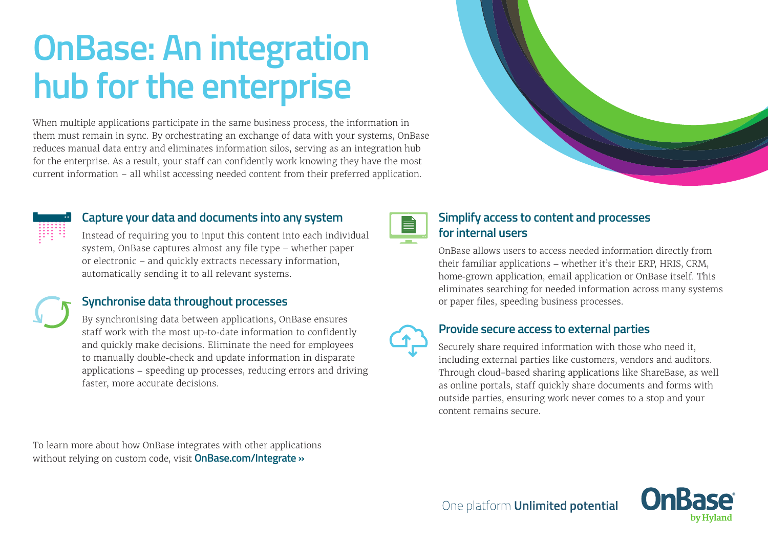# **OnBase: An integration hub for the enterprise**

When multiple applications participate in the same business process, the information in them must remain in sync. By orchestrating an exchange of data with your systems, OnBase reduces manual data entry and eliminates information silos, serving as an integration hub for the enterprise. As a result, your staff can confidently work knowing they have the most current information – all whilst accessing needed content from their preferred application.



### **Capture your data and documents into any system**

Instead of requiring you to input this content into each individual system, OnBase captures almost any file type – whether paper or electronic – and quickly extracts necessary information, automatically sending it to all relevant systems.

## **Synchronise data throughout processes**

By synchronising data between applications, OnBase ensures staff work with the most up-to-date information to confidently and quickly make decisions. Eliminate the need for employees to manually double-check and update information in disparate applications – speeding up processes, reducing errors and driving faster, more accurate decisions.

To learn more about how OnBase integrates with other applications without relying on custom code, visit **[OnBase.com/Integrate »](https://www.onbase.com/en-AU/product/core-platform-strengths/integrations)**



## **Simplify access to content and processes for internal users**

OnBase allows users to access needed information directly from their familiar applications – whether it's their ERP, HRIS, CRM, home-grown application, email application or OnBase itself. This eliminates searching for needed information across many systems or paper files, speeding business processes.



#### **Provide secure access to external parties**

Securely share required information with those who need it, including external parties like customers, vendors and auditors. Through cloud-based sharing applications like ShareBase, as well as online portals, staff quickly share documents and forms with outside parties, ensuring work never comes to a stop and your content remains secure.